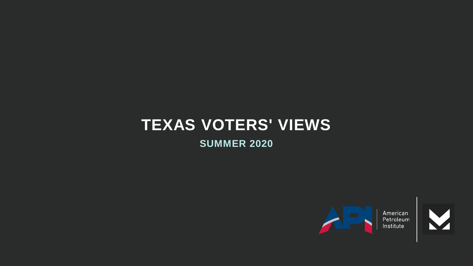# **TEXAS VOTERS' VIEWS**

**SUMMER 2020**



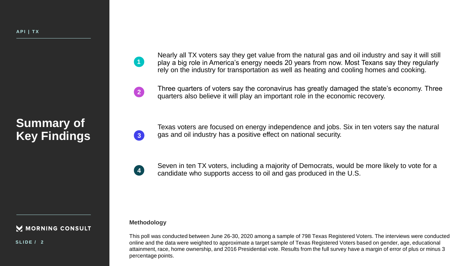### **Summary of Key Findings**

Nearly all TX voters say they get value from the natural gas and oil industry and say it will still play a big role in America's energy needs 20 years from now. Most Texans say they regularly rely on the industry for transportation as well as heating and cooling homes and cooking.

Three quarters of voters say the coronavirus has greatly damaged the state's economy. Three quarters also believe it will play an important role in the economic recovery.

Texas voters are focused on energy independence and jobs. Six in ten voters say the natural gas and oil industry has a positive effect on national security.

**4**

**3**

**1**

**2**

Seven in ten TX voters, including a majority of Democrats, would be more likely to vote for a candidate who supports access to oil and gas produced in the U.S.

#### **Methodology**

This poll was conducted between June 26-30, 2020 among a sample of 798 Texas Registered Voters. The interviews were conducted online and the data were weighted to approximate a target sample of Texas Registered Voters based on gender, age, educational attainment, race, home ownership, and 2016 Presidential vote. Results from the full survey have a margin of error of plus or minus 3 percentage points.

M MORNING CONSULT

**S L I D E / 2**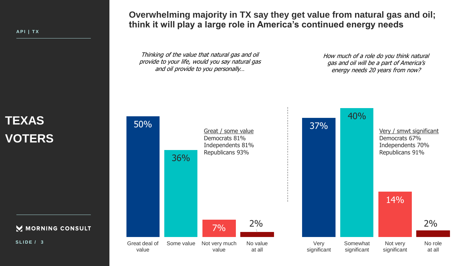FMC1\_1 **A P I | T X**

### **TEXAS VOTERS**

M MORNING CONSULT

**S L I D E / 3**

**Overwhelming majority in TX say they get value from natural gas and oil; think it will play a large role in America's continued energy needs**

Thinking of the value that natural gas and oil provide to your life, would you say natural gas and oil provide to you personally…

How much of a role do you think natural gas and oil will be a part of America's energy needs 20 years from now?

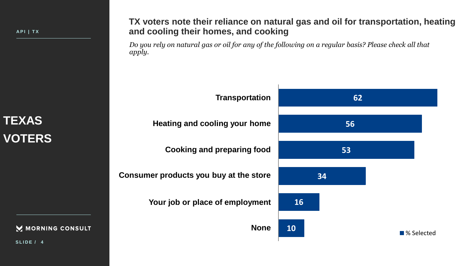## **TEXAS VOTERS**

MORNING CONSULT

**TX voters note their reliance on natural gas and oil for transportation, heating and cooling their homes, and cooking**

*Do you rely on natural gas or oil for any of the following on a regular basis? Please check all that apply.*



**S L I D E / 4**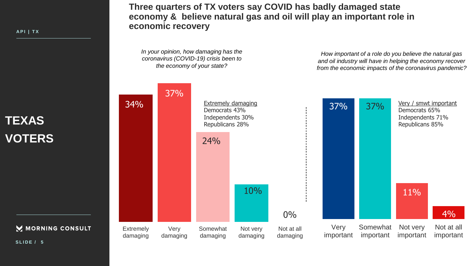**TEXAS VOTERS**

M MORNING CONSULT

**Three quarters of TX voters say COVID has badly damaged state economy & believe natural gas and oil will play an important role in economic recovery**

*In your opinion, how damaging has the coronavirus (COVID-19) crisis been to the economy of your state?*

*How important of a role do you believe the natural gas and oil industry will have in helping the economy recover from the economic impacts of the coronavirus pandemic?*



**S L I D E / 5**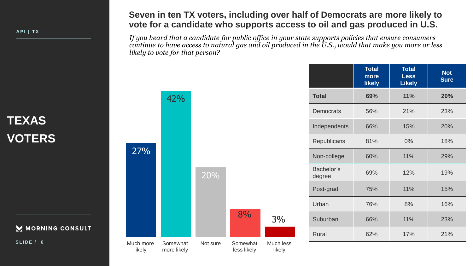### **TEXAS VOTERS**

M MORNING CONSULT

**S L I D E / 6**

### **Seven in ten TX voters, including over half of Democrats are more likely to vote for a candidate who supports access to oil and gas produced in U.S.**

*If you heard that a candidate for public office in your state supports policies that ensure consumers continue to have access to natural gas and oil produced in the U.S., would that make you more or less likely to vote for that person?*

|                      | <b>Total</b><br>more<br><b>likely</b> | <b>Total</b><br><b>Less</b><br><b>Likely</b> | <b>Not</b><br><b>Sure</b> |
|----------------------|---------------------------------------|----------------------------------------------|---------------------------|
| <b>Total</b>         | 69%                                   | <b>11%</b>                                   | 20%                       |
| <b>Democrats</b>     | 56%                                   | 21%                                          | 23%                       |
| Independents         | 66%                                   | 15%                                          | 20%                       |
| Republicans          | 81%                                   | 0%                                           | 18%                       |
| Non-college          | 60%                                   | 11%                                          | 29%                       |
| Bachelor's<br>degree | 69%                                   | 12%                                          | 19%                       |
| Post-grad            | 75%                                   | 11%                                          | 15%                       |
| Urban                | 76%                                   | 8%                                           | 16%                       |
| Suburban             | 66%                                   | 11%                                          | 23%                       |
| <b>Rural</b>         | 62%                                   | 17%                                          | 21%                       |



42%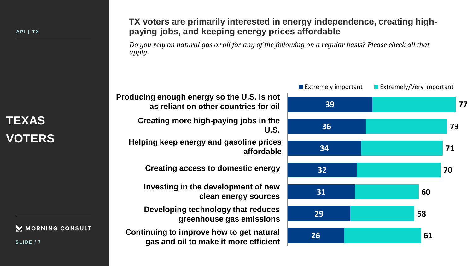### **TEXAS VOTERS**

M MORNING CONSULT

**S L I D E / 7**

#### **TX voters are primarily interested in energy independence, creating highpaying jobs, and keeping energy prices affordable**

*Do you rely on natural gas or oil for any of the following on a regular basis? Please check all that apply.*



**Producing enough energy so the U.S. is not as reliant on other countries for oil**

> **Creating more high-paying jobs in the U.S.**

**Helping keep energy and gasoline prices affordable**

**Creating access to domestic energy**

**Investing in the development of new clean energy sources**

**Developing technology that reduces greenhouse gas emissions**

**Continuing to improve how to get natural gas and oil to make it more efficient**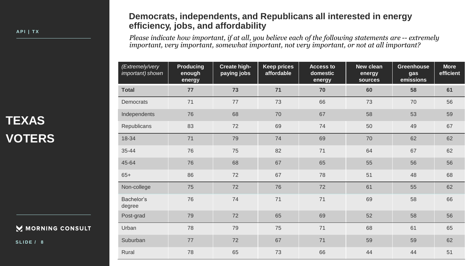### **TEXAS VOTERS**

MORNING CONSULT

**S L I D E / 8**

#### **Democrats, independents, and Republicans all interested in energy efficiency, jobs, and affordability**

*Please indicate how important, if at all, you believe each of the following statements are -- extremely important, very important, somewhat important, not very important, or not at all important?*

| (Extremely/very<br>important) shown | <b>Producing</b><br>enough<br>energy | Create high-<br>paying jobs | <b>Keep prices</b><br>affordable | <b>Access to</b><br>domestic<br>energy | New clean<br>energy<br>sources | <b>Greenhouse</b><br>gas<br>emissions | <b>More</b><br>efficient |
|-------------------------------------|--------------------------------------|-----------------------------|----------------------------------|----------------------------------------|--------------------------------|---------------------------------------|--------------------------|
| <b>Total</b>                        | 77                                   | 73                          | 71                               | 70                                     | 60                             | 58                                    | 61                       |
| <b>Democrats</b>                    | 71                                   | 77                          | 73                               | 66                                     | 73                             | 70                                    | 56                       |
| Independents                        | 76                                   | 68                          | 70                               | 67                                     | 58                             | 53                                    | 59                       |
| Republicans                         | 83                                   | 72                          | 69                               | 74                                     | 50                             | 49                                    | 67                       |
| 18-34                               | 71                                   | 79                          | 74                               | 69                                     | 70                             | 62                                    | 62                       |
| 35-44                               | 76                                   | 75                          | 82                               | 71                                     | 64                             | 67                                    | 62                       |
| 45-64                               | 76                                   | 68                          | 67                               | 65                                     | 55                             | 56                                    | 56                       |
| $65+$                               | 86                                   | 72                          | 67                               | 78                                     | 51                             | 48                                    | 68                       |
| Non-college                         | 75                                   | 72                          | 76                               | 72                                     | 61                             | 55                                    | 62                       |
| Bachelor's<br>degree                | 76                                   | 74                          | 71                               | 71                                     | 69                             | 58                                    | 66                       |
| Post-grad                           | 79                                   | 72                          | 65                               | 69                                     | 52                             | 58                                    | 56                       |
| Urban                               | 78                                   | 79                          | 75                               | 71                                     | 68                             | 61                                    | 65                       |
| Suburban                            | 77                                   | 72                          | 67                               | 71                                     | 59                             | 59                                    | 62                       |
| Rural                               | 78                                   | 65                          | 73                               | 66                                     | 44                             | 44                                    | 51                       |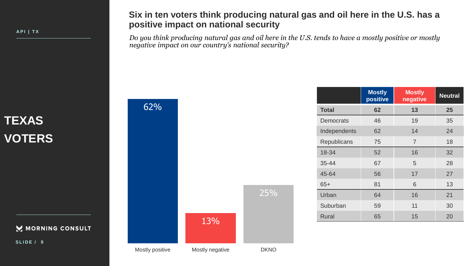### **TEXAS VOTERS**

MORNING CONSULT

**S L I D E / 9**

#### **Six in ten voters think producing natural gas and oil here in the U.S. has a positive impact on national security**

*Do you think producing natural gas and oil here in the U.S. tends to have a mostly positive or mostly negative impact on our country's national security?*

|                    | <b>Mostly</b><br>positive | <b>Mostly</b><br>negative | <b>Neutral</b> |
|--------------------|---------------------------|---------------------------|----------------|
| <b>Total</b>       | 62                        | 13                        | 25             |
| Democrats          | 46                        | 19                        | 35             |
| Independents       | 62                        | 14                        | 24             |
| <b>Republicans</b> | 75                        | $\overline{7}$            | 18             |
| 18-34              | 52                        | 16                        | 32             |
| $35 - 44$          | 67                        | 5                         | 28             |
| 45-64              | 56                        | 17                        | 27             |
| $65+$              | 81                        | 6                         | 13             |
| Urban              | 64                        | 16                        | 21             |
| Suburban           | 59                        | 11                        | 30             |
| <b>Rural</b>       | 65                        | 15                        | 20             |



62%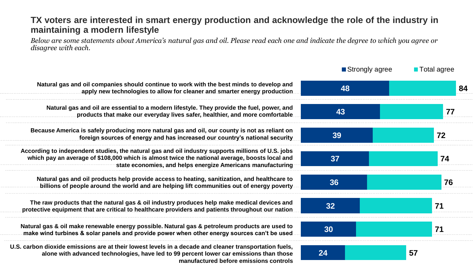### **TX voters are interested in smart energy production and acknowledge the role of the industry in maintaining a modern lifestyle**

*Below are some statements about America's natural gas and oil. Please read each one and indicate the degree to which you agree or disagree with each.*

|                                                                                                                                                                                                                                                                    | ■ Strongly agree | <b>Total agree</b> |
|--------------------------------------------------------------------------------------------------------------------------------------------------------------------------------------------------------------------------------------------------------------------|------------------|--------------------|
| Natural gas and oil companies should continue to work with the best minds to develop and<br>apply new technologies to allow for cleaner and smarter energy production.                                                                                             | 48               | 84                 |
| Natural gas and oil are essential to a modern lifestyle. They provide the fuel, power, and<br>products that make our everyday lives safer, healthier, and more comfortable                                                                                         | 43               | 77                 |
| Because America is safely producing more natural gas and oil, our county is not as reliant on<br>foreign sources of energy and has increased our country's national security                                                                                       | 39               | 72                 |
| According to independent studies, the natural gas and oil industry supports millions of U.S. jobs<br>which pay an average of \$108,000 which is almost twice the national average, boosts local and<br>state economies, and helps energize Americans manufacturing | 37               | 74                 |
| Natural gas and oil products help provide access to heating, sanitization, and healthcare to<br>billions of people around the world and are helping lift communities out of energy poverty                                                                         | 36               | 76                 |
| The raw products that the natural gas & oil industry produces help make medical devices and<br>protective equipment that are critical to healthcare providers and patients throughout our nation                                                                   | 32               | 71                 |
| Natural gas & oil make renewable energy possible. Natural gas & petroleum products are used to<br>make wind turbines & solar panels and provide power when other energy sources can't be used.                                                                     | 30               | 71                 |
| U.S. carbon dioxide emissions are at their lowest levels in a decade and cleaner transportation fuels,<br>alone with advanced technologies, have led to 99 percent lower car emissions than those<br>manufactured before emissions controls                        | 24               | 57                 |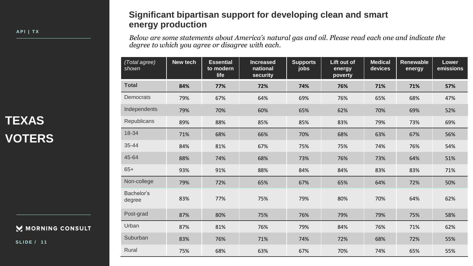### **TEXAS VOTERS**

MORNING CONSULT

**S L I D E / 1 1**

#### **Significant bipartisan support for developing clean and smart energy production**

*Below are some statements about America's natural gas and oil. Please read each one and indicate the degree to which you agree or disagree with each.*

| (Total agree)<br>shown | New tech | <b>Essential</b><br>to modern<br>life | <b>Increased</b><br>national<br>security | <b>Supports</b><br>jobs | Lift out of<br>energy<br>poverty | <b>Medical</b><br>devices | <b>Renewable</b><br>energy | Lower<br>emissions |
|------------------------|----------|---------------------------------------|------------------------------------------|-------------------------|----------------------------------|---------------------------|----------------------------|--------------------|
| <b>Total</b>           | 84%      | 77%                                   | 72%                                      | 74%                     | 76%                              | 71%                       | 71%                        | 57%                |
| <b>Democrats</b>       | 79%      | 67%                                   | 64%                                      | 69%                     | 76%                              | 65%                       | 68%                        | 47%                |
| Independents           | 79%      | 70%                                   | 60%                                      | 65%                     | 62%                              | 70%                       | 69%                        | 52%                |
| Republicans            | 89%      | 88%                                   | 85%                                      | 85%                     | 83%                              | 79%                       | 73%                        | 69%                |
| 18-34                  | 71%      | 68%                                   | 66%                                      | 70%                     | 68%                              | 63%                       | 67%                        | 56%                |
| 35-44                  | 84%      | 81%                                   | 67%                                      | 75%                     | 75%                              | 74%                       | 76%                        | 54%                |
| 45-64                  | 88%      | 74%                                   | 68%                                      | 73%                     | 76%                              | 73%                       | 64%                        | 51%                |
| $65+$                  | 93%      | 91%                                   | 88%                                      | 84%                     | 84%                              | 83%                       | 83%                        | 71%                |
| Non-college            | 79%      | 72%                                   | 65%                                      | 67%                     | 65%                              | 64%                       | 72%                        | 50%                |
| Bachelor's<br>degree   | 83%      | 77%                                   | 75%                                      | 79%                     | 80%                              | 70%                       | 64%                        | 62%                |
| Post-grad              | 87%      | 80%                                   | 75%                                      | 76%                     | 79%                              | 79%                       | 75%                        | 58%                |
| Urban                  | 87%      | 81%                                   | 76%                                      | 79%                     | 84%                              | 76%                       | 71%                        | 62%                |
| Suburban               | 83%      | 76%                                   | 71%                                      | 74%                     | 72%                              | 68%                       | 72%                        | 55%                |
| Rural                  | 75%      | 68%                                   | 63%                                      | 67%                     | 70%                              | 74%                       | 65%                        | 55%                |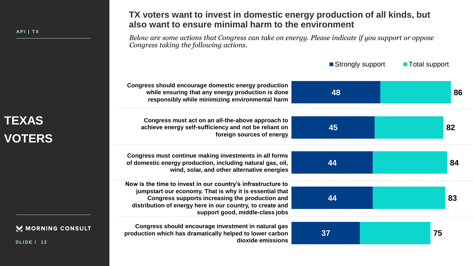## **TEXAS VOTERS**

MORNING CONSULT

**S L I D E / 1 2**

**TX voters want to invest in domestic energy production of all kinds, but also want to ensure minimal harm to the environment**

*Below are some actions that Congress can take on energy. Please indicate if you support or oppose Congress taking the following actions.*

|                                                                                                                                                                                                                                                                            | ■ Strongly support | <b>Total support</b> |
|----------------------------------------------------------------------------------------------------------------------------------------------------------------------------------------------------------------------------------------------------------------------------|--------------------|----------------------|
| Congress should encourage domestic energy production<br>while ensuring that any energy production is done<br>responsibly while minimizing environmental harm                                                                                                               | 48                 | 86                   |
| Congress must act on an all-the-above approach to<br>achieve energy self-sufficiency and not be reliant on<br>foreign sources of energy                                                                                                                                    | 45                 | 82                   |
| Congress must continue making investments in all forms<br>of domestic energy production, including natural gas, oil,<br>wind, solar, and other alternative energies                                                                                                        | 44                 | 84                   |
| Now is the time to invest in our country's infrastructure to<br>jumpstart our economy. That is why it is essential that<br>Congress supports increasing the production and<br>distribution of energy here in our country, to create and<br>support good, middle-class jobs | 44                 | 83                   |
| Congress should encourage investment in natural gas<br>production which has dramatically helped to lower carbon<br>dioxide emissions                                                                                                                                       | 37                 | 75                   |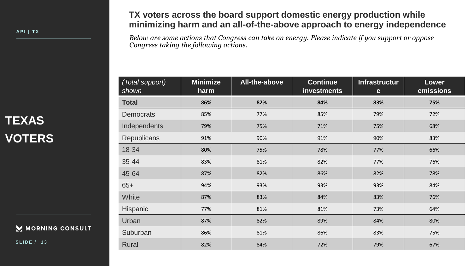### **TEXAS VOTERS**

#### MORNING CONSULT

**S L I D E / 1 3**

### **TX voters across the board support domestic energy production while minimizing harm and an all-of-the-above approach to energy independence**

*Below are some actions that Congress can take on energy. Please indicate if you support or oppose Congress taking the following actions.*

| (Total support)<br>shown | <b>Minimize</b><br>harm | All-the-above | <b>Continue</b><br><b>investments</b> | <b>Infrastructur</b><br>e | <b>Lower</b><br>emissions |
|--------------------------|-------------------------|---------------|---------------------------------------|---------------------------|---------------------------|
| <b>Total</b>             | 86%                     | 82%           | 84%                                   | 83%                       | 75%                       |
| <b>Democrats</b>         | 85%                     | 77%           | 85%                                   | 79%                       | 72%                       |
| Independents             | 79%                     | 75%           | 71%                                   | 75%                       | 68%                       |
| <b>Republicans</b>       | 91%                     | 90%           | 91%                                   | 90%                       | 83%                       |
| 18-34                    | 80%                     | 75%           | 78%                                   | 77%                       | 66%                       |
| 35-44                    | 83%                     | 81%           | 82%                                   | 77%                       | 76%                       |
| 45-64                    | 87%                     | 82%           | 86%                                   | 82%                       | 78%                       |
| $65+$                    | 94%                     | 93%           | 93%                                   | 93%                       | 84%                       |
| White                    | 87%                     | 83%           | 84%                                   | 83%                       | 76%                       |
| <b>Hispanic</b>          | 77%                     | 81%           | 81%                                   | 73%                       | 64%                       |
| Urban                    | 87%                     | 82%           | 89%                                   | 84%                       | 80%                       |
| Suburban                 | 86%                     | 81%           | 86%                                   | 83%                       | 75%                       |
| <b>Rural</b>             | 82%                     | 84%           | 72%                                   | 79%                       | 67%                       |